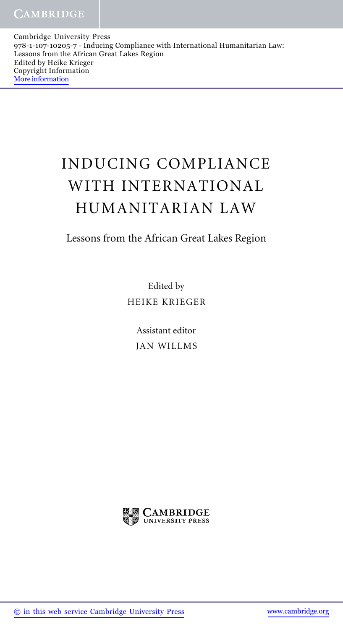Cambridge University Press 978-1-107-10205-7 - Inducing Compliance with International Humanitarian Law: Lessons from the African Great Lakes Region Edited by Heike Krieger Copyright Information More information

## INDUCING COMPLIANCE WITH INTERNATIONAL HUMANITARIAN LAW

## Lessons from the African Great Lakes Region

Edited by HEIKE KRIEGER

> Assistant editor JAN WILLMS